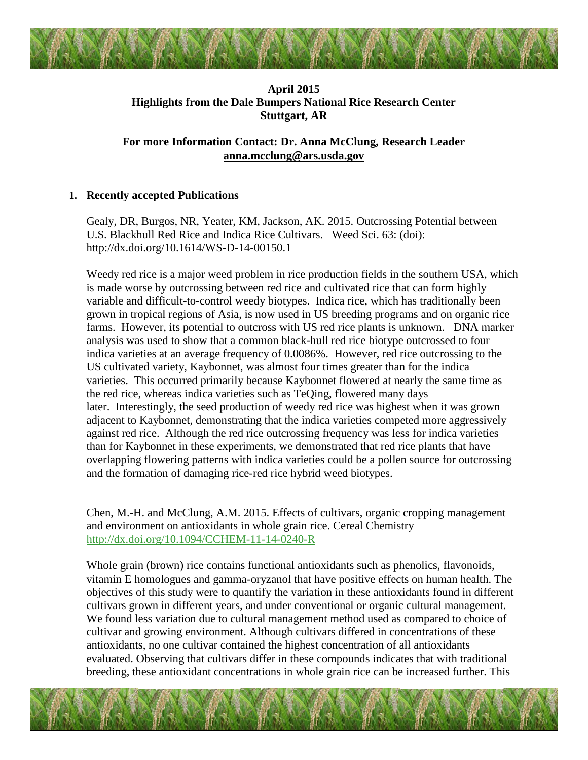# **April 2015 Highlights from the Dale Bumpers National Rice Research Center Stuttgart, AR**

## **For more Information Contact: Dr. Anna McClung, Research Leader [anna.mcclung@ars.usda.gov](mailto:anna.mcclung@ars.usda.gov)**

### **1. Recently accepted Publications**

Gealy, DR, Burgos, NR, Yeater, KM, Jackson, AK. 2015. Outcrossing Potential between U.S. Blackhull Red Rice and Indica Rice Cultivars. Weed Sci. 63: (doi): <http://dx.doi.org/10.1614/WS-D-14-00150.1>

Weedy red rice is a major weed problem in rice production fields in the southern USA, which is made worse by outcrossing between red rice and cultivated rice that can form highly variable and difficult-to-control weedy biotypes. Indica rice, which has traditionally been grown in tropical regions of Asia, is now used in US breeding programs and on organic rice farms. However, its potential to outcross with US red rice plants is unknown. DNA marker analysis was used to show that a common black-hull red rice biotype outcrossed to four indica varieties at an average frequency of 0.0086%. However, red rice outcrossing to the US cultivated variety, Kaybonnet, was almost four times greater than for the indica varieties. This occurred primarily because Kaybonnet flowered at nearly the same time as the red rice, whereas indica varieties such as TeQing, flowered many days later. Interestingly, the seed production of weedy red rice was highest when it was grown adjacent to Kaybonnet, demonstrating that the indica varieties competed more aggressively against red rice. Although the red rice outcrossing frequency was less for indica varieties than for Kaybonnet in these experiments, we demonstrated that red rice plants that have overlapping flowering patterns with indica varieties could be a pollen source for outcrossing and the formation of damaging rice-red rice hybrid weed biotypes.

Chen, M.-H. and McClung, A.M. 2015. Effects of cultivars, organic cropping management and environment on antioxidants in whole grain rice. Cereal Chemistry <http://dx.doi.org/10.1094/CCHEM-11-14-0240-R>

Whole grain (brown) rice contains functional antioxidants such as phenolics, flavonoids, vitamin E homologues and gamma-oryzanol that have positive effects on human health. The objectives of this study were to quantify the variation in these antioxidants found in different cultivars grown in different years, and under conventional or organic cultural management. We found less variation due to cultural management method used as compared to choice of cultivar and growing environment. Although cultivars differed in concentrations of these antioxidants, no one cultivar contained the highest concentration of all antioxidants evaluated. Observing that cultivars differ in these compounds indicates that with traditional breeding, these antioxidant concentrations in whole grain rice can be increased further. This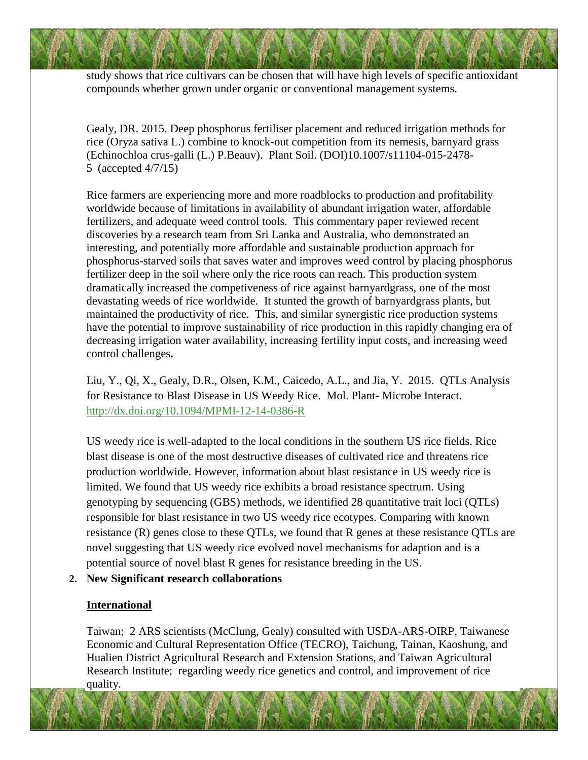study shows that rice cultivars can be chosen that will have high levels of specific antioxidant compounds whether grown under organic or conventional management systems.

Gealy, DR. 2015. Deep phosphorus fertiliser placement and reduced irrigation methods for rice (Oryza sativa L.) combine to knock-out competition from its nemesis, barnyard grass (Echinochloa crus-galli (L.) P.Beauv). Plant Soil. (DOI)10.1007/s11104-015-2478- 5 (accepted 4/7/15)

Rice farmers are experiencing more and more roadblocks to production and profitability worldwide because of limitations in availability of abundant irrigation water, affordable fertilizers, and adequate weed control tools. This commentary paper reviewed recent discoveries by a research team from Sri Lanka and Australia, who demonstrated an interesting, and potentially more affordable and sustainable production approach for phosphorus-starved soils that saves water and improves weed control by placing phosphorus fertilizer deep in the soil where only the rice roots can reach. This production system dramatically increased the competiveness of rice against barnyardgrass, one of the most devastating weeds of rice worldwide. It stunted the growth of barnyardgrass plants, but maintained the productivity of rice. This, and similar synergistic rice production systems have the potential to improve sustainability of rice production in this rapidly changing era of decreasing irrigation water availability, increasing fertility input costs, and increasing weed control challenges**.** 

Liu, Y., Qi, X., Gealy, D.R., Olsen, K.M., Caicedo, A.L., and Jia, Y. 2015. QTLs Analysis for Resistance to Blast Disease in US Weedy Rice. Mol. Plant- Microbe Interact. <http://dx.doi.org/10.1094/MPMI-12-14-0386-R>

US weedy rice is well-adapted to the local conditions in the southern US rice fields. Rice blast disease is one of the most destructive diseases of cultivated rice and threatens rice production worldwide. However, information about blast resistance in US weedy rice is limited. We found that US weedy rice exhibits a broad resistance spectrum. Using genotyping by sequencing (GBS) methods, we identified 28 quantitative trait loci (QTLs) responsible for blast resistance in two US weedy rice ecotypes. Comparing with known resistance (R) genes close to these QTLs, we found that R genes at these resistance QTLs are novel suggesting that US weedy rice evolved novel mechanisms for adaption and is a potential source of novel blast R genes for resistance breeding in the US.

### **2. New Significant research collaborations**

### **International**

Taiwan; 2 ARS scientists (McClung, Gealy) consulted with USDA-ARS-OIRP, Taiwanese Economic and Cultural Representation Office (TECRO), Taichung, Tainan, Kaoshung, and Hualien District Agricultural Research and Extension Stations, and Taiwan Agricultural Research Institute; regarding weedy rice genetics and control, and improvement of rice quality.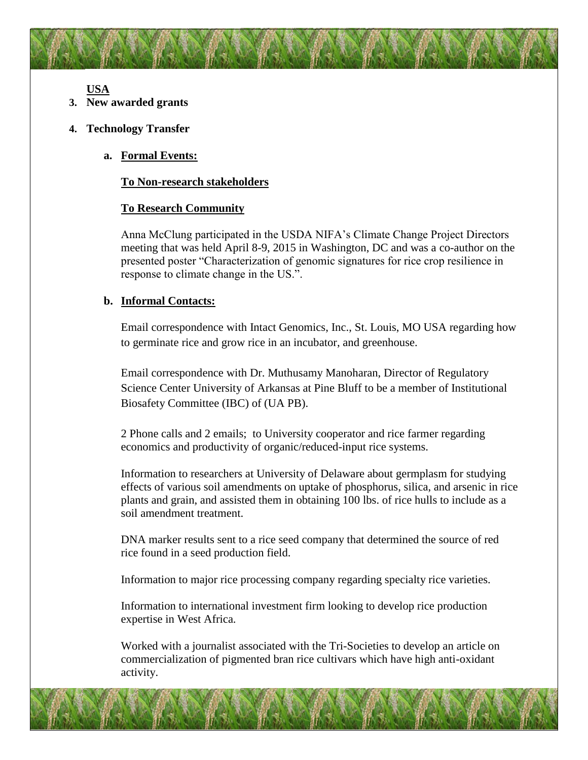**USA**

- **3. New awarded grants**
- **4. Technology Transfer**
	- **a. Formal Events:**

### **To Non-research stakeholders**

#### **To Research Community**

Anna McClung participated in the USDA NIFA's Climate Change Project Directors meeting that was held April 8-9, 2015 in Washington, DC and was a co-author on the presented poster "Characterization of genomic signatures for rice crop resilience in response to climate change in the US.".

#### **b. Informal Contacts:**

Email correspondence with Intact Genomics, Inc., St. Louis, MO USA regarding how to germinate rice and grow rice in an incubator, and greenhouse.

Email correspondence with Dr. Muthusamy Manoharan, Director of Regulatory Science Center University of Arkansas at Pine Bluff to be a member of Institutional Biosafety Committee (IBC) of (UA PB).

2 Phone calls and 2 emails; to University cooperator and rice farmer regarding economics and productivity of organic/reduced-input rice systems.

Information to researchers at University of Delaware about germplasm for studying effects of various soil amendments on uptake of phosphorus, silica, and arsenic in rice plants and grain, and assisted them in obtaining 100 lbs. of rice hulls to include as a soil amendment treatment.

DNA marker results sent to a rice seed company that determined the source of red rice found in a seed production field.

Information to major rice processing company regarding specialty rice varieties.

Information to international investment firm looking to develop rice production expertise in West Africa.

Worked with a journalist associated with the Tri-Societies to develop an article on commercialization of pigmented bran rice cultivars which have high anti-oxidant activity.